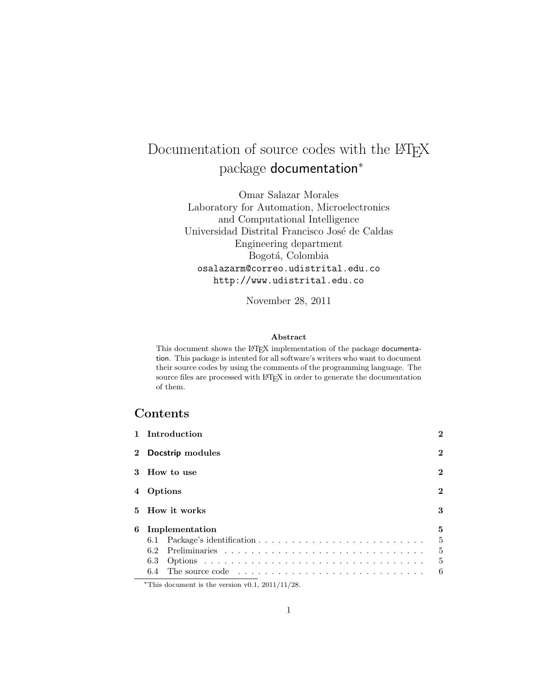# Documentation of source codes with the LATEX package documentation<sup>∗</sup>

Omar Salazar Morales Laboratory for Automation, Microelectronics and Computational Intelligence Universidad Distrital Francisco José de Caldas Engineering department Bogotá, Colombia osalazarm@correo.udistrital.edu.co http://www.udistrital.edu.co

November 28, 2011

#### Abstract

This document shows the IATEX implementation of the package documentation. This package is intented for all software's writers who want to document their source codes by using the comments of the programming language. The source files are processed with LATEX in order to generate the documentation of them.

# Contents

|                | 1 Introduction |                  | $\bf{2}$       |
|----------------|----------------|------------------|----------------|
| $\mathbf{2}^-$ |                | Docstrip modules | $\bf{2}$       |
|                | 3 How to use   |                  |                |
| 4              | Options        |                  | $\bf{2}$       |
|                |                | 5 How it works   | 3              |
| 6              |                | Implementation   | 5              |
|                |                |                  | 5              |
|                | 6.2            |                  | 5              |
|                | 6.3            |                  | $\overline{5}$ |
|                |                |                  | 6              |

<sup>∗</sup>This document is the version v0.1, 2011/11/28.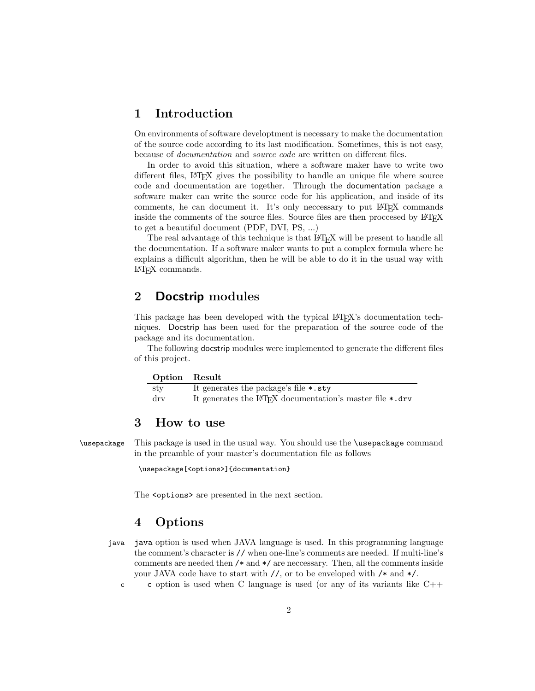## 1 Introduction

On environments of software developtment is necessary to make the documentation of the source code according to its last modification. Sometimes, this is not easy, because of documentation and source code are written on different files.

In order to avoid this situation, where a software maker have to write two different files, L<sup>A</sup>TEX gives the possibility to handle an unique file where source code and documentation are together. Through the documentation package a software maker can write the source code for his application, and inside of its comments, he can document it. It's only neccessary to put L<sup>A</sup>TEX commands inside the comments of the source files. Source files are then proccesed by LAT<sub>EX</sub> to get a beautiful document (PDF, DVI, PS, ...)

The real advantage of this technique is that LAT<sub>EX</sub> will be present to handle all the documentation. If a software maker wants to put a complex formula where he explains a difficult algorithm, then he will be able to do it in the usual way with L<sup>A</sup>TEX commands.

# 2 Docstrip modules

This package has been developed with the typical L<sup>A</sup>TEX's documentation techniques. Docstrip has been used for the preparation of the source code of the package and its documentation.

The following docstrip modules were implemented to generate the different files of this project.

| Option Result |                                                                       |
|---------------|-----------------------------------------------------------------------|
| sty           | It generates the package's file *.sty                                 |
| drv           | It generates the LAT <sub>F</sub> X documentation's master file *.drv |

### 3 How to use

\usepackage This package is used in the usual way. You should use the \usepackage command in the preamble of your master's documentation file as follows

\usepackage[<options>]{documentation}

The  $\zeta$ -spotions are presented in the next section.

# 4 Options

- java java option is used when JAVA language is used. In this programming language the comment's character is // when one-line's comments are needed. If multi-line's comments are needed then /\* and \*/ are neccessary. Then, all the comments inside your JAVA code have to start with  $//$ , or to be enveloped with  $/*$  and  $*/$ .
	- c c option is used when C language is used (or any of its variants like  $C++$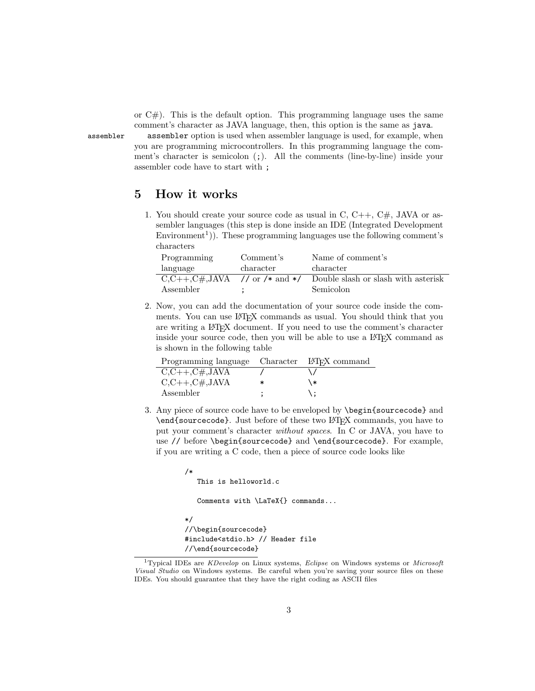or  $C#$ ). This is the default option. This programming language uses the same comment's character as JAVA language, then, this option is the same as java.

assembler assembler option is used when assembler language is used, for example, when you are programming microcontrollers. In this programming language the comment's character is semicolon  $(i)$ . All the comments (line-by-line) inside your assembler code have to start with ;

# 5 How it works

1. You should create your source code as usual in C,  $C_{++}$ ,  $C_{+}$ , JAVA or assembler languages (this step is done inside an IDE (Integrated Development  $\text{Environment}^{1}$ ). These programming languages use the following comment's characters

| Programming                        | Comment's | Name of comment's                    |
|------------------------------------|-----------|--------------------------------------|
| language                           | character | character                            |
| $C, C++, C#, JAVA$ // or /* and */ |           | Double slash or slash with a sterisk |
| Assembler                          |           | Semicolon                            |

2. Now, you can add the documentation of your source code inside the comments. You can use LATEX commands as usual. You should think that you are writing a L<sup>A</sup>TEX document. If you need to use the comment's character inside your source code, then you will be able to use a LAT<sub>EX</sub> command as is shown in the following table

| Programming language Character LAT <sub>F</sub> X command |        |    |
|-----------------------------------------------------------|--------|----|
| $C, C++, C\#, JAVA$                                       |        |    |
| $C, C++, C\#, JAVA$                                       | $\ast$ | ∖∗ |
| Assembler                                                 |        |    |

3. Any piece of source code have to be enveloped by \begin{sourcecode} and \end{sourcecode}. Just before of these two LATEX commands, you have to put your comment's character without spaces. In C or JAVA, you have to use // before \begin{sourcecode} and \end{sourcecode}. For example, if you are writing a C code, then a piece of source code looks like

/\*

This is helloworld.c

Comments with \LaTeX{} commands...

```
*/
//\begin{sourcecode}
#include<stdio.h> // Header file
//\end{sourcecode}
```
<sup>&</sup>lt;sup>1</sup>Typical IDEs are *KDevelop* on Linux systems, *Eclipse* on Windows systems or *Microsoft* Visual Studio on Windows systems. Be careful when you're saving your source files on these IDEs. You should guarantee that they have the right coding as ASCII files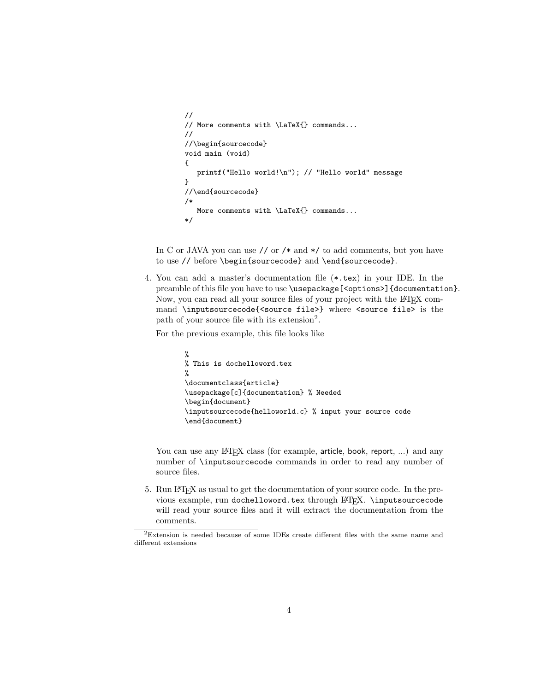```
//
// More comments with \LaTeX{} commands...
//
//\begin{sourcecode}
void main (void)
{
  printf("Hello world!\n"); // "Hello world" message
}
//\end{sourcecode}
/*
  More comments with \LaTeX{} commands...
*/
```
In C or JAVA you can use // or /\* and \*/ to add comments, but you have to use // before \begin{sourcecode} and \end{sourcecode}.

4. You can add a master's documentation file (\*.tex) in your IDE. In the preamble of this file you have to use \usepackage[<options>]{documentation}. Now, you can read all your source files of your project with the L<sup>A</sup>T<sub>EX</sub> command \inputsourcecode{<source file>} where <source file> is the path of your source file with its extension<sup>2</sup>.

For the previous example, this file looks like

```
%
% This is dochelloword.tex
%
\documentclass{article}
\usepackage[c]{documentation} % Needed
\begin{document}
\inputsourcecode{helloworld.c} % input your source code
\end{document}
```
You can use any LAT<sub>EX</sub> class (for example, article, book, report, ...) and any number of \inputsourcecode commands in order to read any number of source files.

5. Run L<sup>A</sup>TEX as usual to get the documentation of your source code. In the previous example, run dochelloword.tex through LAT<sub>E</sub>X. \inputsourcecode will read your source files and it will extract the documentation from the comments.

<sup>2</sup>Extension is needed because of some IDEs create different files with the same name and different extensions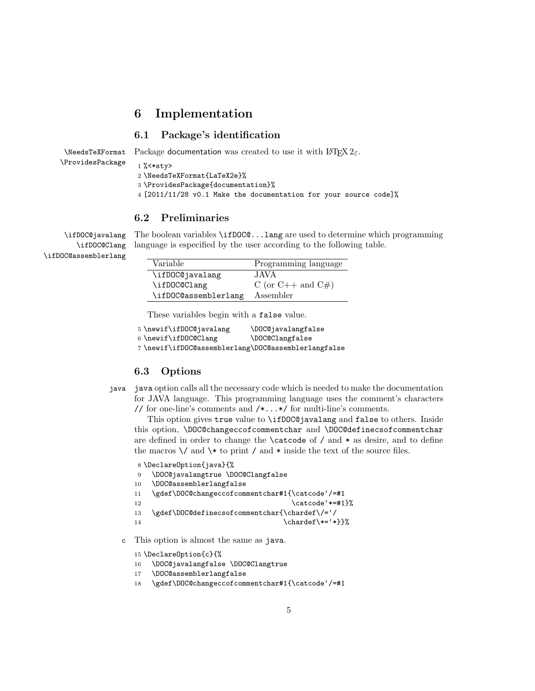### 6 Implementation

#### 6.1 Package's identification

\NeedsTeXFormat \ProvidesPackage Package documentation was created to use it with  $\angle LFT$ <sub>E</sub>. 1 %<\*sty> 2 \NeedsTeXFormat{LaTeX2e}%

3 \ProvidesPackage{documentation}%

4 [2011/11/28 v0.1 Make the documentation for your source code]%

#### 6.2 Preliminaries

\ifDOC@javalang \ifDOC@Clang \ifDOC@assemblerlang

The boolean variables \ifDOC@...lang are used to determine which programming language is especified by the user according to the following table.

| Variable             | Programming language |
|----------------------|----------------------|
| \ifDOC@javalang      | JAVA                 |
| \ifDOC@Clang         | C (or C++ and C#)    |
| \ifDOC@assemblerlang | Assembler            |

These variables begin with a false value.

5\newif\ifDOC@javalang \DOC@javalangfalse 6 \newif\ifDOC@Clang \DOC@Clangfalse

7 \newif\ifDOC@assemblerlang\DOC@assemblerlangfalse

#### 6.3 Options

java java option calls all the necessary code which is needed to make the documentation for JAVA language. This programming language uses the comment's characters // for one-line's comments and  $/*...*/$  for multi-line's comments.

This option gives true value to \ifDOC@javalang and false to others. Inside this option, \DOC@changeccofcommentchar and \DOC@definecsofcommentchar are defined in order to change the \catcode of / and \* as desire, and to define the macros  $\setminus$  and  $\setminus *$  to print / and \* inside the text of the source files.

```
8 \DeclareOption{java}{%
9 \DOC@javalangtrue \DOC@Clangfalse
10 \DOC@assemblerlangfalse
11 \gdef\DOC@changeccofcommentchar#1{\catcode'/=#1
12 \{\text{catcode}^* \neq \text{1}\}13 \gdef\DOC@definecsofcommentchar{\chardef\/='/
14 \{\char`{the}\@{}
```
c This option is almost the same as java.

15 \DeclareOption{c}{%

- 16 \DOC@javalangfalse \DOC@Clangtrue
- 17 \DOC@assemblerlangfalse
- 18 \gdef\DOC@changeccofcommentchar#1{\catcode'/=#1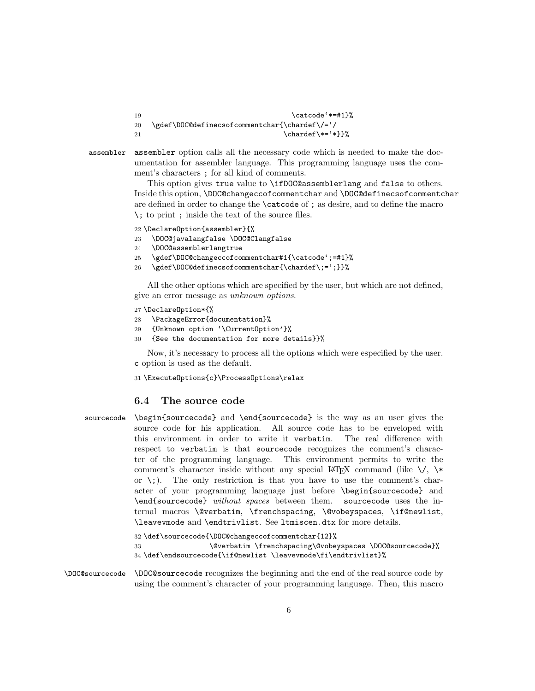| -19 | \catcode'*=#1}%                               |
|-----|-----------------------------------------------|
| -20 | \gdef\DOC@definecsofcommentchar{\chardef\/='/ |
| -21 | $\char`>chardef\*=`\*}$                       |

assembler assembler option calls all the necessary code which is needed to make the documentation for assembler language. This programming language uses the comment's characters ; for all kind of comments.

> This option gives true value to \ifDOC@assemblerlang and false to others. Inside this option, \DOC@changeccofcommentchar and \DOC@definecsofcommentchar are defined in order to change the \catcode of ; as desire, and to define the macro \; to print ; inside the text of the source files.

- 22 \DeclareOption{assembler}{%
- 23 \DOC@javalangfalse \DOC@Clangfalse
- 24 \DOC@assemblerlangtrue
- 25 \gdef\DOC@changeccofcommentchar#1{\catcode';=#1}%
- 26 \gdef\DOC@definecsofcommentchar{\chardef\;=';}}%

All the other options which are specified by the user, but which are not defined, give an error message as unknown options.

- 27 \DeclareOption\*{%
- 28 \PackageError{documentation}%
- 29 {Unknown option '\CurrentOption'}%
- 30 {See the documentation for more details}}%

Now, it's necessary to process all the options which were especified by the user. c option is used as the default.

31 \ExecuteOptions{c}\ProcessOptions\relax

#### 6.4 The source code

sourcecode \begin{sourcecode} and \end{sourcecode} is the way as an user gives the source code for his application. All source code has to be enveloped with this environment in order to write it verbatim. The real difference with respect to verbatim is that sourcecode recognizes the comment's character of the programming language. This environment permits to write the comment's character inside without any special LATEX command (like  $\setminus$ ,  $\setminus$ or  $\langle \cdot, \cdot \rangle$ . The only restriction is that you have to use the comment's character of your programming language just before \begin{sourcecode} and \end{sourcecode} without spaces between them. sourcecode uses the internal macros \@verbatim, \frenchspacing, \@vobeyspaces, \if@newlist, \leavevmode and \endtrivlist. See ltmiscen.dtx for more details.

```
32 \def\sourcecode{\DOC@changeccofcommentchar{12}%
33 \@verbatim \frenchspacing\@vobeyspaces \DOC@sourcecode}%
34 \def\endsourcecode{\if@newlist \leavevmode\fi\endtrivlist}%
```
\DOC@sourcecode \DOC@sourcecode recognizes the beginning and the end of the real source code by using the comment's character of your programming language. Then, this macro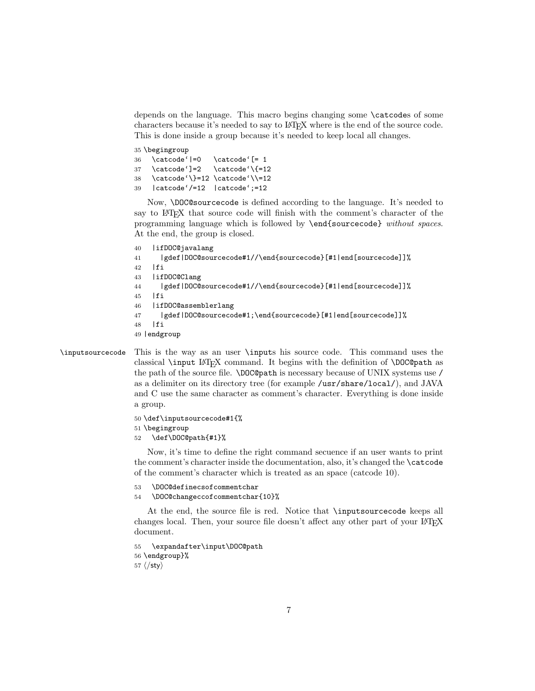depends on the language. This macro begins changing some \catcodes of some characters because it's needed to say to L<sup>A</sup>TEX where is the end of the source code. This is done inside a group because it's needed to keep local all changes.

 \begingroup \catcode'|=0 \catcode'[= 1  $37 \ \text{catcode'}=2 \ \text{catcode'}\{=12$  \catcode'\}=12 \catcode'\\=12 |catcode'/=12 |catcode';=12

Now, \DOC@sourcecode is defined according to the language. It's needed to say to L<sup>A</sup>TEX that source code will finish with the comment's character of the programming language which is followed by \end{sourcecode} without spaces. At the end, the group is closed.

```
40 |ifDOC@javalang
41 |gdef|DOC@sourcecode#1//\end{sourcecode}[#1|end[sourcecode]]%
42 |fi
43 |ifDOC@Clang
44 |gdef|DOC@sourcecode#1//\end{sourcecode}[#1|end[sourcecode]]%
45 |fi
46 |ifDOC@assemblerlang
47 |gdef|DOC@sourcecode#1;\end{sourcecode}[#1|end[sourcecode]]%
48 |fi
49 |endgroup
```
\inputsourcecode This is the way as an user \inputs his source code. This command uses the classical \input L<sup>A</sup>TEX command. It begins with the definition of \DOC@path as the path of the source file. \DOC@path is necessary because of UNIX systems use / as a delimiter on its directory tree (for example /usr/share/local/), and JAVA and C use the same character as comment's character. Everything is done inside a group.

```
50 \def\inputsourcecode#1{%
51 \begingroup
```

```
52 \def\DOC@path{#1}%
```
Now, it's time to define the right command secuence if an user wants to print the comment's character inside the documentation, also, it's changed the \catcode of the comment's character which is treated as an space (catcode 10).

```
53 \DOC@definecsofcommentchar
```

```
54 \DOC@changeccofcommentchar{10}%
```
At the end, the source file is red. Notice that \inputsourcecode keeps all changes local. Then, your source file doesn't affect any other part of your LATEX document.

```
55 \expandafter\input\DOC@path
56 \endgroup}%
57 \langle/sty\rangle
```